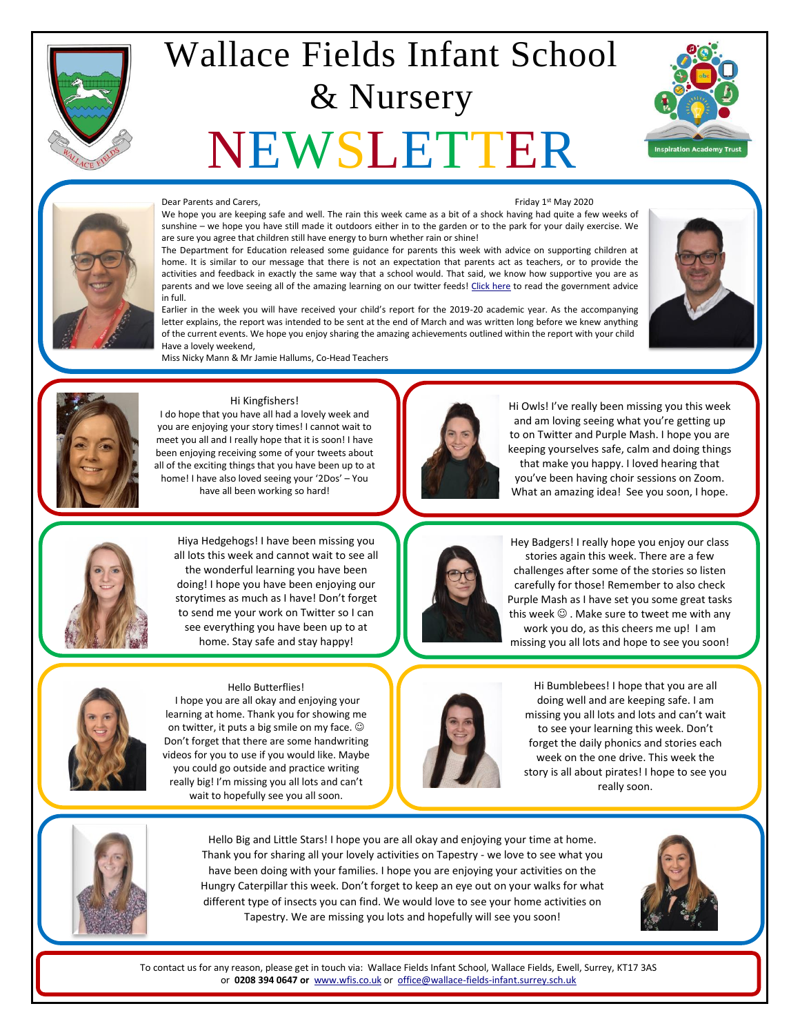

## Wallace Fields Infant School & Nursery

# NEWSLETTER





#### Dear Parents and Carers,

Friday 1st May 2020

We hope you are keeping safe and well. The rain this week came as a bit of a shock having had quite a few weeks of sunshine – we hope you have still made it outdoors either in to the garden or to the park for your daily exercise. We are sure you agree that children still have energy to burn whether rain or shine!

The Department for Education released some guidance for parents this week with advice on supporting children at home. It is similar to our message that there is not an expectation that parents act as teachers, or to provide the activities and feedback in exactly the same way that a school would. That said, we know how supportive you are as parents and we love seeing all of the amazing learning on our twitter feeds! [Click here](https://www.gov.uk/guidance/help-primary-school-children-continue-their-education-during-coronavirus-covid-19) to read the government advice in full.



Miss Nicky Mann & Mr Jamie Hallums, Co-Head Teachers



#### Hi Kingfishers!

I do hope that you have all had a lovely week and you are enjoying your story times! I cannot wait to meet you all and I really hope that it is soon! I have been enjoying receiving some of your tweets about all of the exciting things that you have been up to at home! I have also loved seeing your '2Dos' – You have all been working so hard!



Hi Owls! I've really been missing you this week and am loving seeing what you're getting up to on Twitter and Purple Mash. I hope you are keeping yourselves safe, calm and doing things that make you happy. I loved hearing that you've been having choir sessions on Zoom. What an amazing idea! See you soon, I hope.



Hiya Hedgehogs! I have been missing you all lots this week and cannot wait to see all the wonderful learning you have been doing! I hope you have been enjoying our storytimes as much as I have! Don't forget to send me your work on Twitter so I can see everything you have been up to at home. Stay safe and stay happy!



#### Hello Butterflies!

I hope you are all okay and enjoying your learning at home. Thank you for showing me on twitter, it puts a big smile on my face.  $\odot$ Don't forget that there are some handwriting videos for you to use if you would like. Maybe you could go outside and practice writing really big! I'm missing you all lots and can't wait to hopefully see you all soon.



Hey Badgers! I really hope you enjoy our class stories again this week. There are a few challenges after some of the stories so listen carefully for those! Remember to also check Purple Mash as I have set you some great tasks this week  $\odot$  . Make sure to tweet me with any work you do, as this cheers me up! I am missing you all lots and hope to see you soon!



Hi Bumblebees! I hope that you are all doing well and are keeping safe. I am missing you all lots and lots and can't wait to see your learning this week. Don't forget the daily phonics and stories each week on the one drive. This week the story is all about pirates! I hope to see you really soon.



Hello Big and Little Stars! I hope you are all okay and enjoying your time at home. Thank you for sharing all your lovely activities on Tapestry - we love to see what you have been doing with your families. I hope you are enjoying your activities on the Hungry Caterpillar this week. Don't forget to keep an eye out on your walks for what different type of insects you can find. We would love to see your home activities on Tapestry. We are missing you lots and hopefully will see you soon!

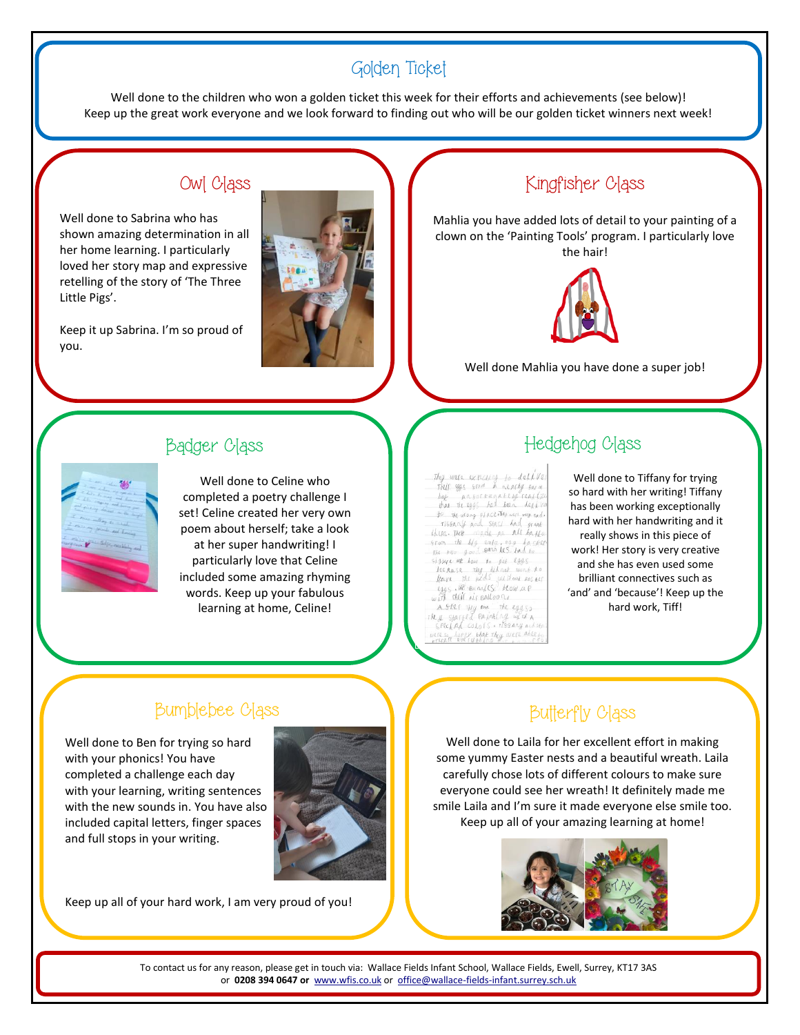#### Golden Ticket

Well done to the children who won a golden ticket this week for their efforts and achievements (see below)! Keep up the great work everyone and we look forward to finding out who will be our golden ticket winners next week!

## Owl Class

Well done to Sabrina who has shown amazing determination in all her home learning. I particularly loved her story map and expressive retelling of the story of 'The Three Little Pigs'.

Keep it up Sabrina. I'm so proud of you.



## Kingfisher Class

Mahlia you have added lots of detail to your painting of a clown on the 'Painting Tools' program. I particularly love the hair!



Well done Mahlia you have done a super job!

#### Badger Class



Well done to Celine who completed a poetry challenge I set! Celine created her very own poem about herself; take a look at her super handwriting! I particularly love that Celine included some amazing rhyming words. Keep up your fabulous learning at home, Celine!

This were expecting to delive<br>Their was srom a nearby sara bat ansorrunately real (2) that the 1935 has been experienced<br>for the annual place the weiter was set<br>the the model of the first<br>form the life empire on the band<br>for the life empire and less band to<br>for the life empire and less band to In the first text of the 1995<br>It can be the low to pet leggs<br>It can the fide without boster<br>Leggs in the real of the low a p<br>with their air pall of the low A STRI THY NOW The eggs FREEPA COLOTS . TISSANY ALAM<br>TESO hAPPY that They WER Able .<br>PERATE EVETY that La Communist

## Hedgehog Class

Well done to Tiffany for trying so hard with her writing! Tiffany has been working exceptionally hard with her handwriting and it really shows in this piece of work! Her story is very creative and she has even used some brilliant connectives such as 'and' and 'because'! Keep up the hard work, Tiff!

#### Bumblebee Class

Well done to Ben for trying so hard with your phonics! You have completed a challenge each day with your learning, writing sentences with the new sounds in. You have also included capital letters, finger spaces and full stops in your writing.



Keep up all of your hard work, I am very proud of you!

#### Butterfly Class

Well done to Laila for her excellent effort in making some yummy Easter nests and a beautiful wreath. Laila carefully chose lots of different colours to make sure everyone could see her wreath! It definitely made me smile Laila and I'm sure it made everyone else smile too. Keep up all of your amazing learning at home!

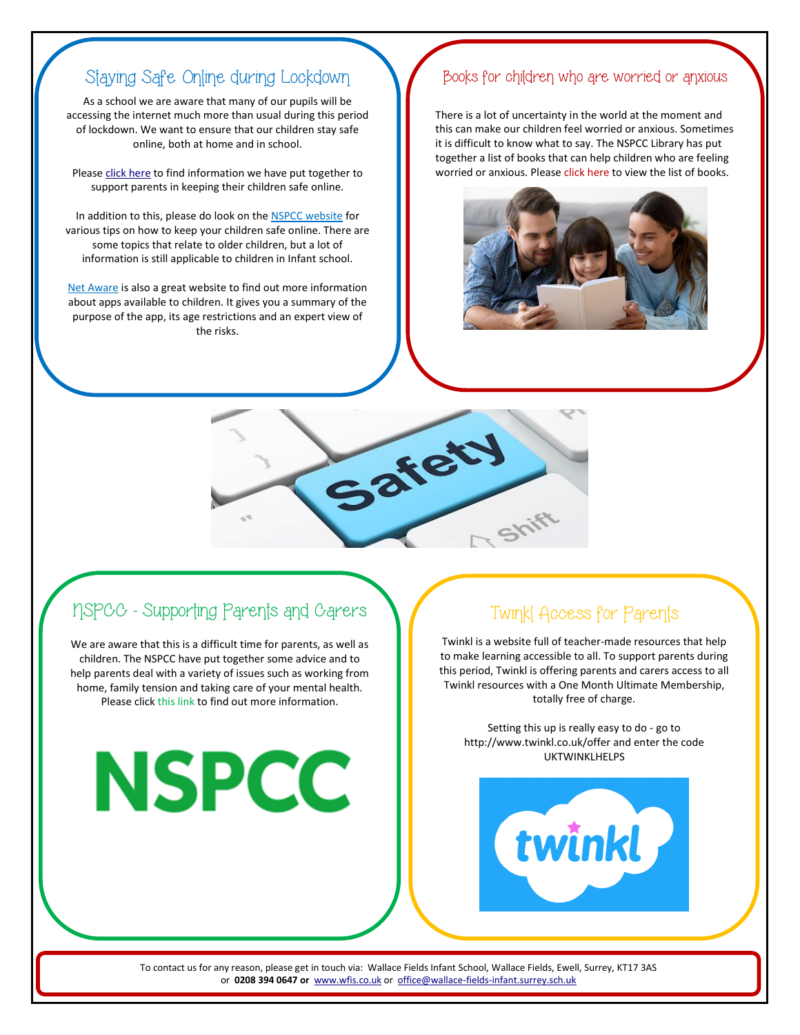#### Staying Safe Online during Lockdown

As a school we are aware that many of our pupils will be accessing the internet much more than usual during this period of lockdown. We want to ensure that our children stay safe online, both at home and in school.

Please [click here](http://fluencycontent2-schoolwebsite.netdna-ssl.com/FileCluster/WallaceFields/MainFolder/documents/Newsletters/Attachments-2019-20/010520/Online-Safety-and-Parental-Controls.pdf) to find information we have put together to support parents in keeping their children safe online.

In addition to this, please do look on th[e NSPCC website](https://www.nspcc.org.uk/keeping-children-safe/online-safety/) for various tips on how to keep your children safe online. There are some topics that relate to older children, but a lot of information is still applicable to children in Infant school.

[Net Aware](https://www.net-aware.org.uk/) is also a great website to find out more information about apps available to children. It gives you a summary of the purpose of the app, its age restrictions and an expert view of the risks.

#### Books for children who are worried or anxious

There is a lot of uncertainty in the world at the moment and this can make our children feel worried or anxious. Sometimes it is difficult to know what to say. The NSPCC Library has put together a list of books that can help children who are feeling worried or anxious. Please [click here](https://library.nspcc.org.uk/HeritageScripts/Hapi.dll/retrieve2?SetID=3773524F-40ED-41A5-A9C2-D089337FEE6D&DataSetName=LIVEDATA) to view the list of books.





## NSPCC - Supporting Parents and Carers

We are aware that this is a difficult time for parents, as well as children. The NSPCC have put together some advice and to help parents deal with a variety of issues such as working from home, family tension and taking care of your mental health. Please click [this link](https://www.nspcc.org.uk/keeping-children-safe/coronavirus-advice-suppport-children-families-parents/) to find out more information.

**NSPCC** 

### Twinkl Access for Parents

Twinkl is a website full of teacher-made resources that help to make learning accessible to all. To support parents during this period, Twinkl is offering parents and carers access to all Twinkl resources with a One Month Ultimate Membership, totally free of charge.

Setting this up is really easy to do - go to <http://www.twinkl.co.uk/offer> and enter the code UKTWINKLHELPS